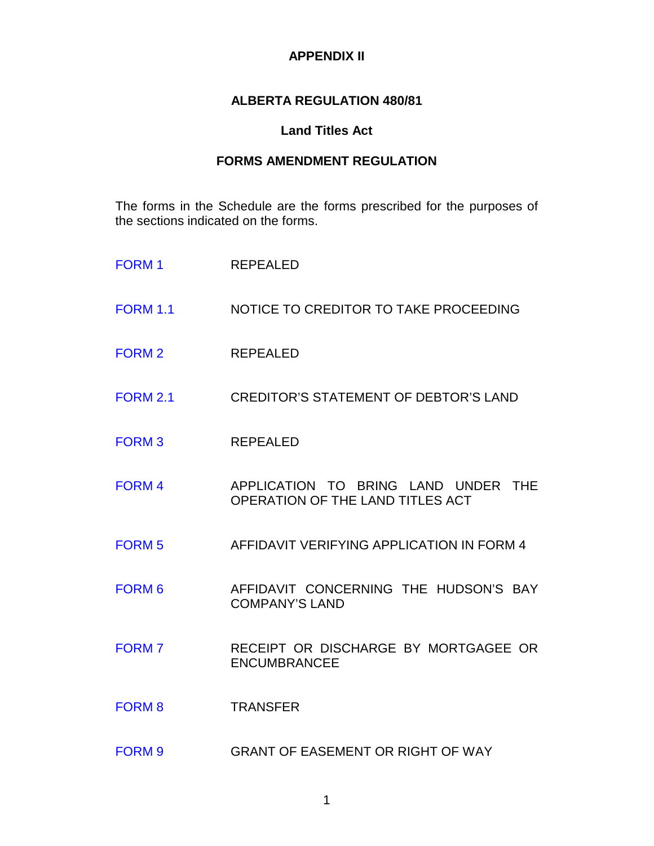## **APPENDIX II**

## **ALBERTA REGULATION 480/81**

## **Land Titles Act**

# **FORMS AMENDMENT REGULATION**

The forms in the Schedule are the forms prescribed for the purposes of the sections indicated on the forms.

| <b>FORM1</b>      | <b>REPEALED</b>                                                         |
|-------------------|-------------------------------------------------------------------------|
| <b>FORM 1.1</b>   | NOTICE TO CREDITOR TO TAKE PROCEEDING                                   |
| <b>FORM 2</b>     | <b>REPEALED</b>                                                         |
| <b>FORM 2.1</b>   | <b>CREDITOR'S STATEMENT OF DEBTOR'S LAND</b>                            |
| <b>FORM3</b>      | <b>REPEALED</b>                                                         |
| <b>FORM4</b>      | APPLICATION TO BRING LAND UNDER THE<br>OPERATION OF THE LAND TITLES ACT |
| <b>FORM 5</b>     | AFFIDAVIT VERIFYING APPLICATION IN FORM 4                               |
| FORM <sub>6</sub> | AFFIDAVIT CONCERNING THE HUDSON'S BAY<br><b>COMPANY'S LAND</b>          |
| <b>FORM 7</b>     | RECEIPT OR DISCHARGE BY MORTGAGEE OR<br><b>ENCUMBRANCEE</b>             |
| <b>FORM 8</b>     | <b>TRANSFER</b>                                                         |
| <b>FORM 9</b>     | <b>GRANT OF EASEMENT OR RIGHT OF WAY</b>                                |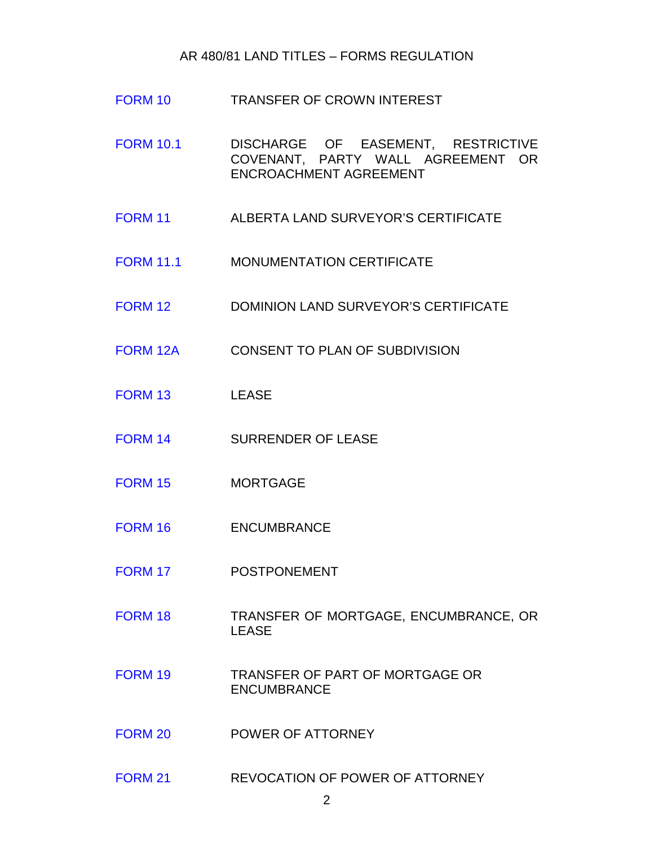#### AR 480/81 LAND TITLES – FORMS REGULATION

- [FORM 10](http://www.servicealberta.ca/pdf/ltmanual/FORM10.PDF) TRANSFER OF CROWN INTEREST
- [FORM 10.1](http://www.servicealberta.ca/pdf/ltmanual/FORM10.1.PDF) DISCHARGE OF EASEMENT, RESTRICTIVE COVENANT, PARTY WALL AGREEMENT OR ENCROACHMENT AGREEMENT
- [FORM 11](http://www.servicealberta.ca/pdf/ltmanual/FORM11.pdf) ALBERTA LAND SURVEYOR'S CERTIFICATE
- [FORM 11.1](http://www.servicealberta.ca/pdf/ltmanual/FORM11.1.pdf) MONUMENTATION CERTIFICATE
- [FORM 12](http://www.servicealberta.ca/pdf/ltmanual/FORM12.PDF) DOMINION LAND SURVEYOR'S CERTIFICATE
- [FORM](http://www.servicealberta.ca/pdf/ltmanual/FORM12A.PDF) 12A CONSENT TO PLAN OF SUBDIVISION
- [FORM 13](http://www.servicealberta.ca/pdf/ltmanual/FORM13.PDF) LEASE
- [FORM 14](http://www.servicealberta.ca/pdf/ltmanual/FORM14.PDF) SURRENDER OF LEASE
- [FORM 15](http://www.servicealberta.ca/pdf/ltmanual/FORM15.PDF) MORTGAGE
- [FORM 16](http://www.servicealberta.ca/pdf/ltmanual/FORM16.PDF) ENCUMBRANCE
- [FORM 17](http://www.servicealberta.ca/pdf/ltmanual/FORM17.PDF) POSTPONEMENT
- [FORM 18](http://www.servicealberta.ca/pdf/ltmanual/FORM18.PDF) TRANSFER OF MORTGAGE, ENCUMBRANCE, OR LEASE
- [FORM 19](http://www.servicealberta.ca/pdf/ltmanual/FORM19.PDF) TRANSFER OF PART OF MORTGAGE OR ENCUMBRANCE
- [FORM 20](http://www.servicealberta.ca/pdf/ltmanual/FORM20.PDF) POWER OF ATTORNEY
- [FORM 21](http://www.servicealberta.ca/pdf/ltmanual/FORM21.PDF) REVOCATION OF POWER OF ATTORNEY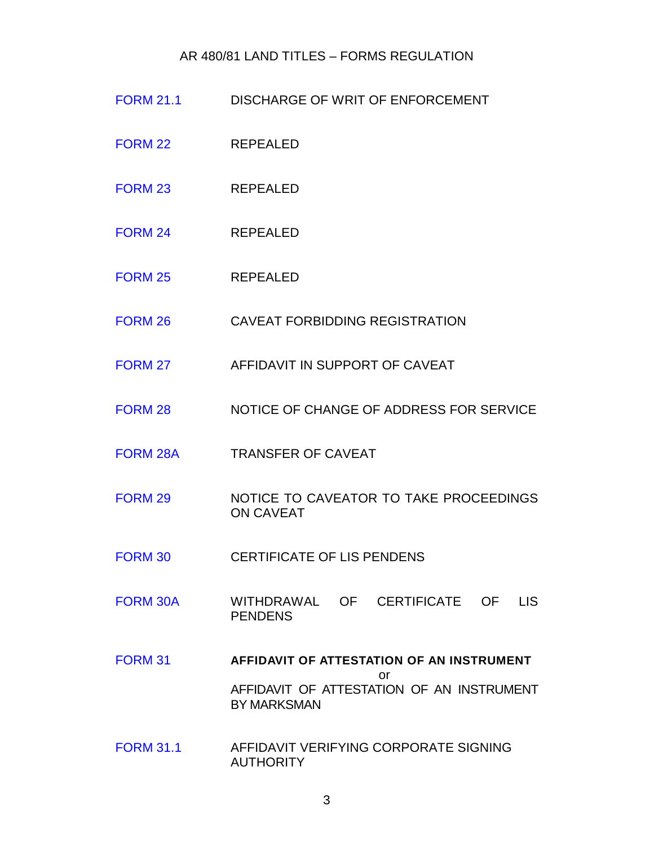### AR 480/81 LAND TITLES – FORMS REGULATION

- [FORM 21.1](http://www.servicealberta.ca/pdf/ltmanual/FORM21.1.PDF) DISCHARGE OF WRIT OF ENFORCEMENT
- [FORM 22](http://www.servicealberta.ca/pdf/ltmanual/FORM22-25.pdf) REPEALED
- [FORM 23](http://www.servicealberta.ca/pdf/ltmanual/FORM22-25.pdf) REPEALED
- [FORM 24](http://www.servicealberta.ca/pdf/ltmanual/FORM22-25.pdf) REPEALED
- [FORM 25](http://www.servicealberta.ca/pdf/ltmanual/FORM22-25.pdf) REPEALED
- [FORM 26](http://www.servicealberta.ca/pdf/ltmanual/FORM26.PDF) CAVEAT FORBIDDING REGISTRATION
- [FORM 27](http://www.servicealberta.ca/pdf/ltmanual/FORM27.PDF) AFFIDAVIT IN SUPPORT OF CAVEAT
- [FORM 28](http://www.servicealberta.ca/pdf/ltmanual/FORM28.PDF) NOTICE OF CHANGE OF ADDRESS FOR SERVICE
- [FORM 28A](http://www.servicealberta.ca/pdf/ltmanual/FORM28A.PDF) TRANSFER OF CAVEAT
- [FORM 29](http://www.servicealberta.ca/pdf/ltmanual/FORM29.PDF) NOTICE TO CAVEATOR TO TAKE PROCEEDINGS ON CAVEAT
- [FORM 30](http://www.servicealberta.ca/pdf/ltmanual/FORM30.PDF) CERTIFICATE OF LIS PENDENS
- [FORM 30A](http://www.servicealberta.ca/pdf/ltmanual/FORM30A.PDF) WITHDRAWAL OF CERTIFICATE OF LIS PENDENS
- [FORM 31](http://www.servicealberta.ca/pdf/ltmanual/FORM31.PDF) **AFFIDAVIT OF ATTESTATION OF AN INSTRUMENT** or AFFIDAVIT OF ATTESTATION OF AN INSTRUMENT BY MARKSMAN
- [FORM 31.1](http://www.servicealberta.ca/pdf/ltmanual/FORM31.1.PDF) AFFIDAVIT VERIFYING CORPORATE SIGNING AUTHORITY